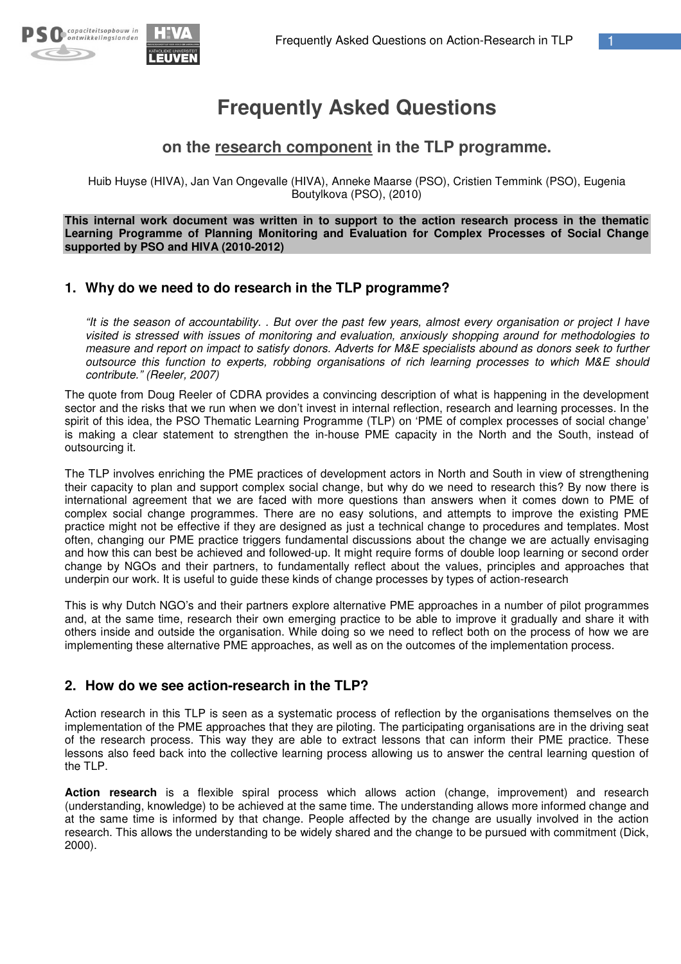



# **Frequently Asked Questions**

## **on the research component in the TLP programme.**

Huib Huyse (HIVA), Jan Van Ongevalle (HIVA), Anneke Maarse (PSO), Cristien Temmink (PSO), Eugenia Boutylkova (PSO), (2010)

**This internal work document was written in to support to the action research process in the thematic Learning Programme of Planning Monitoring and Evaluation for Complex Processes of Social Change supported by PSO and HIVA (2010-2012)**

## **1. Why do we need to do research in the TLP programme?**

"It is the season of accountability. . But over the past few years, almost every organisation or project I have *visited is stressed with issues of monitoring and evaluation, anxiously shopping around for methodologies to* measure and report on impact to satisfy donors. Adverts for M&E specialists abound as donors seek to further *outsource this function to experts, robbing organisations of rich learning processes to which M&E should contribute." (Reeler, 2007)*

The quote from Doug Reeler of CDRA provides a convincing description of what is happening in the development sector and the risks that we run when we don't invest in internal reflection, research and learning processes. In the spirit of this idea, the PSO Thematic Learning Programme (TLP) on 'PME of complex processes of social change' is making a clear statement to strengthen the in-house PME capacity in the North and the South, instead of outsourcing it.

The TLP involves enriching the PME practices of development actors in North and South in view of strengthening their capacity to plan and support complex social change, but why do we need to research this? By now there is international agreement that we are faced with more questions than answers when it comes down to PME of complex social change programmes. There are no easy solutions, and attempts to improve the existing PME practice might not be effective if they are designed as just a technical change to procedures and templates. Most often, changing our PME practice triggers fundamental discussions about the change we are actually envisaging and how this can best be achieved and followed-up. It might require forms of double loop learning or second order change by NGOs and their partners, to fundamentally reflect about the values, principles and approaches that underpin our work. It is useful to guide these kinds of change processes by types of action-research

This is why Dutch NGO's and their partners explore alternative PME approaches in a number of pilot programmes and, at the same time, research their own emerging practice to be able to improve it gradually and share it with others inside and outside the organisation. While doing so we need to reflect both on the process of how we are implementing these alternative PME approaches, as well as on the outcomes of the implementation process.

## **2. How do we see action-research in the TLP?**

Action research in this TLP is seen as a systematic process of reflection by the organisations themselves on the implementation of the PME approaches that they are piloting. The participating organisations are in the driving seat of the research process. This way they are able to extract lessons that can inform their PME practice. These lessons also feed back into the collective learning process allowing us to answer the central learning question of the TLP.

**Action research** is a flexible spiral process which allows action (change, improvement) and research (understanding, knowledge) to be achieved at the same time. The understanding allows more informed change and at the same time is informed by that change. People affected by the change are usually involved in the action research. This allows the understanding to be widely shared and the change to be pursued with commitment (Dick, 2000).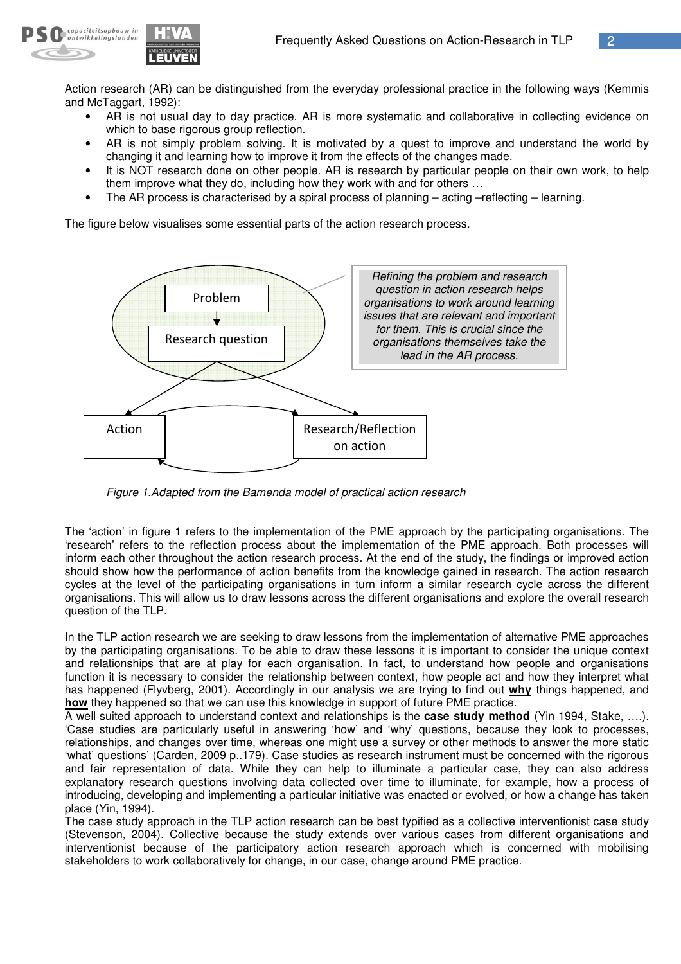

Action research (AR) can be distinguished from the everyday professional practice in the following ways (Kemmis and McTaggart, 1992):

- AR is not usual day to day practice. AR is more systematic and collaborative in collecting evidence on which to base rigorous group reflection.
- AR is not simply problem solving. It is motivated by a quest to improve and understand the world by changing it and learning how to improve it from the effects of the changes made.
- It is NOT research done on other people. AR is research by particular people on their own work, to help them improve what they do, including how they work with and for others …
- The AR process is characterised by a spiral process of planning acting –reflecting learning.

The figure below visualises some essential parts of the action research process.



*Figure 1.Adapted from the Bamenda model of practical action research*

The 'action' in figure 1 refers to the implementation of the PME approach by the participating organisations. The 'research' refers to the reflection process about the implementation of the PME approach. Both processes will inform each other throughout the action research process. At the end of the study, the findings or improved action should show how the performance of action benefits from the knowledge gained in research. The action research cycles at the level of the participating organisations in turn inform a similar research cycle across the different organisations. This will allow us to draw lessons across the different organisations and explore the overall research question of the TLP.

In the TLP action research we are seeking to draw lessons from the implementation of alternative PME approaches by the participating organisations. To be able to draw these lessons it is important to consider the unique context and relationships that are at play for each organisation. In fact, to understand how people and organisations function it is necessary to consider the relationship between context, how people act and how they interpret what has happened (Flyvberg, 2001). Accordingly in our analysis we are trying to find out **why** things happened, and **how** they happened so that we can use this knowledge in support of future PME practice.

A well suited approach to understand context and relationships is the **case study method** (Yin 1994, Stake, ….). 'Case studies are particularly useful in answering 'how' and 'why' questions, because they look to processes, relationships, and changes over time, whereas one might use a survey or other methods to answer the more static 'what' questions' (Carden, 2009 p..179). Case studies as research instrument must be concerned with the rigorous and fair representation of data. While they can help to illuminate a particular case, they can also address explanatory research questions involving data collected over time to illuminate, for example, how a process of introducing, developing and implementing a particular initiative was enacted or evolved, or how a change has taken place (Yin, 1994).

The case study approach in the TLP action research can be best typified as a collective interventionist case study (Stevenson, 2004). Collective because the study extends over various cases from different organisations and interventionist because of the participatory action research approach which is concerned with mobilising stakeholders to work collaboratively for change, in our case, change around PME practice.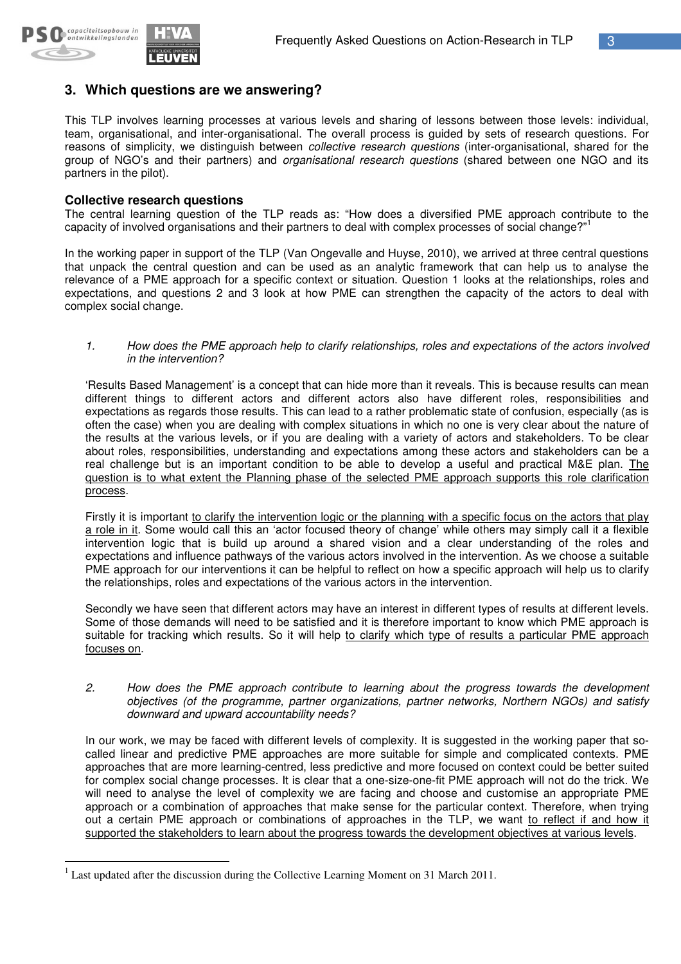

## **3. Which questions are we answering?**

This TLP involves learning processes at various levels and sharing of lessons between those levels: individual, team, organisational, and inter-organisational. The overall process is guided by sets of research questions. For reasons of simplicity, we distinguish between *collective research questions* (inter-organisational, shared for the group of NGO's and their partners) and *organisational research questions* (shared between one NGO and its partners in the pilot).

#### **Collective research questions**

The central learning question of the TLP reads as: "How does a diversified PME approach contribute to the capacity of involved organisations and their partners to deal with complex processes of social change?"<sup>1</sup>

In the working paper in support of the TLP (Van Ongevalle and Huyse, 2010), we arrived at three central questions that unpack the central question and can be used as an analytic framework that can help us to analyse the relevance of a PME approach for a specific context or situation. Question 1 looks at the relationships, roles and expectations, and questions 2 and 3 look at how PME can strengthen the capacity of the actors to deal with complex social change.

*1. How does the PME approach help to clarify relationships, roles and expectations of the actors involved in the intervention?*

'Results Based Management' is a concept that can hide more than it reveals. This is because results can mean different things to different actors and different actors also have different roles, responsibilities and expectations as regards those results. This can lead to a rather problematic state of confusion, especially (as is often the case) when you are dealing with complex situations in which no one is very clear about the nature of the results at the various levels, or if you are dealing with a variety of actors and stakeholders. To be clear about roles, responsibilities, understanding and expectations among these actors and stakeholders can be a real challenge but is an important condition to be able to develop a useful and practical M&E plan. The question is to what extent the Planning phase of the selected PME approach supports this role clarification process.

Firstly it is important to clarify the intervention logic or the planning with a specific focus on the actors that play a role in it. Some would call this an 'actor focused theory of change' while others may simply call it a flexible intervention logic that is build up around a shared vision and a clear understanding of the roles and expectations and influence pathways of the various actors involved in the intervention. As we choose a suitable PME approach for our interventions it can be helpful to reflect on how a specific approach will help us to clarify the relationships, roles and expectations of the various actors in the intervention.

Secondly we have seen that different actors may have an interest in different types of results at different levels. Some of those demands will need to be satisfied and it is therefore important to know which PME approach is suitable for tracking which results. So it will help to clarify which type of results a particular PME approach focuses on.

*2. How does the PME approach contribute to learning about the progress towards the development objectives (of the programme, partner organizations, partner networks, Northern NGOs) and satisfy downward and upward accountability needs?*

In our work, we may be faced with different levels of complexity. It is suggested in the working paper that socalled linear and predictive PME approaches are more suitable for simple and complicated contexts. PME approaches that are more learning-centred, less predictive and more focused on context could be better suited for complex social change processes. It is clear that a one-size-one-fit PME approach will not do the trick. We will need to analyse the level of complexity we are facing and choose and customise an appropriate PME approach or a combination of approaches that make sense for the particular context. Therefore, when trying out a certain PME approach or combinations of approaches in the TLP, we want to reflect if and how it supported the stakeholders to learn about the progress towards the development objectives at various levels.

<sup>1</sup> Last updated after the discussion during the Collective Learning Moment on 31 March 2011.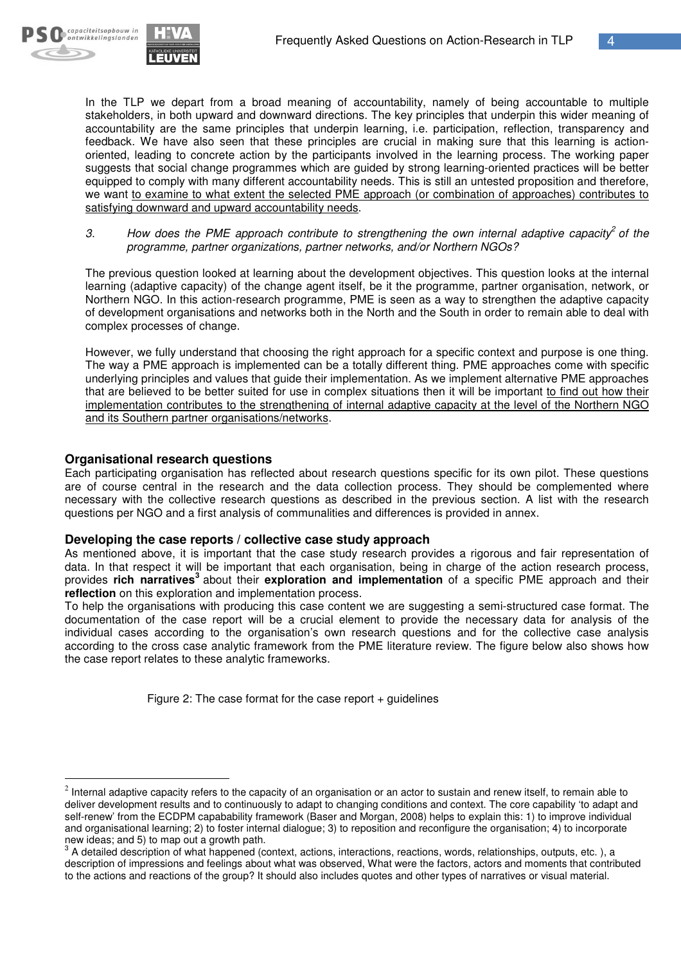

In the TLP we depart from a broad meaning of accountability, namely of being accountable to multiple stakeholders, in both upward and downward directions. The key principles that underpin this wider meaning of accountability are the same principles that underpin learning, i.e. participation, reflection, transparency and feedback. We have also seen that these principles are crucial in making sure that this learning is actionoriented, leading to concrete action by the participants involved in the learning process. The working paper suggests that social change programmes which are guided by strong learning-oriented practices will be better equipped to comply with many different accountability needs. This is still an untested proposition and therefore, we want to examine to what extent the selected PME approach (or combination of approaches) contributes to satisfying downward and upward accountability needs.

*3. How does the PME approach contribute to strengthening the own internal adaptive capacity 2 of the programme, partner organizations, partner networks, and/or Northern NGOs?*

The previous question looked at learning about the development objectives. This question looks at the internal learning (adaptive capacity) of the change agent itself, be it the programme, partner organisation, network, or Northern NGO. In this action-research programme, PME is seen as a way to strengthen the adaptive capacity of development organisations and networks both in the North and the South in order to remain able to deal with complex processes of change.

However, we fully understand that choosing the right approach for a specific context and purpose is one thing. The way a PME approach is implemented can be a totally different thing. PME approaches come with specific underlying principles and values that guide their implementation. As we implement alternative PME approaches that are believed to be better suited for use in complex situations then it will be important to find out how their implementation contributes to the strengthening of internal adaptive capacity at the level of the Northern NGO and its Southern partner organisations/networks.

## **Organisational research questions**

Each participating organisation has reflected about research questions specific for its own pilot. These questions are of course central in the research and the data collection process. They should be complemented where necessary with the collective research questions as described in the previous section. A list with the research questions per NGO and a first analysis of communalities and differences is provided in annex.

#### **Developing the case reports / collective case study approach**

As mentioned above, it is important that the case study research provides a rigorous and fair representation of data. In that respect it will be important that each organisation, being in charge of the action research process, provides rich narratives<sup>3</sup> about their exploration and implementation of a specific PME approach and their **reflection** on this exploration and implementation process.

To help the organisations with producing this case content we are suggesting a semi-structured case format. The documentation of the case report will be a crucial element to provide the necessary data for analysis of the individual cases according to the organisation's own research questions and for the collective case analysis according to the cross case analytic framework from the PME literature review. The figure below also shows how the case report relates to these analytic frameworks.

Figure 2: The case format for the case report  $+$  guidelines

 $^2$  Internal adaptive capacity refers to the capacity of an organisation or an actor to sustain and renew itself, to remain able to deliver development results and to continuously to adapt to changing conditions and context. The core capability 'to adapt and self-renew' from the ECDPM capabability framework (Baser and Morgan, 2008) helps to explain this: 1) to improve individual and organisational learning; 2) to foster internal dialogue; 3) to reposition and reconfigure the organisation; 4) to incorporate new ideas; and 5) to map out a growth path.

 $^3$  A detailed description of what happened (context, actions, interactions, reactions, words, relationships, outputs, etc.), a description of impressions and feelings about what was observed, What were the factors, actors and moments that contributed to the actions and reactions of the group? It should also includes quotes and other types of narratives or visual material.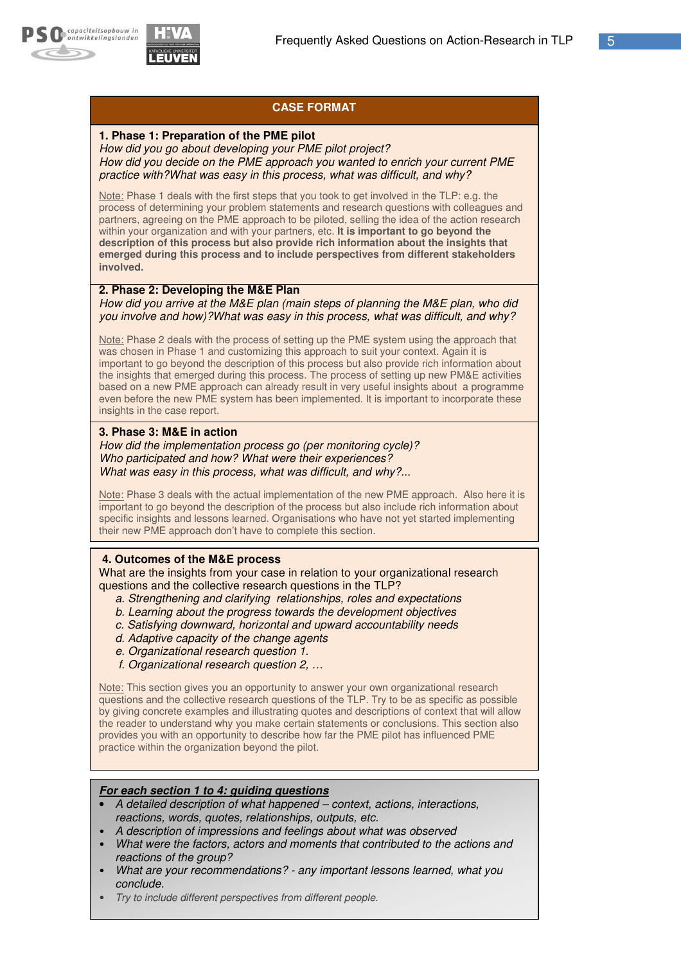

## **CASE FORMAT**

#### **1. Phase 1: Preparation of the PME pilot**

*How did you go about developing your PME pilot project? How did you decide on the PME approach you wanted to enrich your current PME practice with?What was easy in this process, what was difficult, and why?*

Note: Phase 1 deals with the first steps that you took to get involved in the TLP: e.g. the process of determining your problem statements and research questions with colleagues and partners, agreeing on the PME approach to be piloted, selling the idea of the action research within your organization and with your partners, etc. **It is important to go beyond the description of this process but also provide rich information about the insights that emerged during this process and to include perspectives from different stakeholders involved.**

#### **2. Phase 2: Developing the M&E Plan**

*How did you arrive at the M&E plan (main steps of planning the M&E plan, who did you involve and how)?What was easy in this process, what was difficult, and why?*

Note: Phase 2 deals with the process of setting up the PME system using the approach that was chosen in Phase 1 and customizing this approach to suit your context. Again it is important to go beyond the description of this process but also provide rich information about the insights that emerged during this process. The process of setting up new PM&E activities based on a new PME approach can already result in very useful insights about a programme even before the new PME system has been implemented. It is important to incorporate these insights in the case report.

#### **3. Phase 3: M&E in action**

*How did the implementation process go (per monitoring cycle)? Who participated and how? What were their experiences? What was easy in this process, what was difficult, and why?...*

Note: Phase 3 deals with the actual implementation of the new PME approach. Also here it is important to go beyond the description of the process but also include rich information about specific insights and lessons learned. Organisations who have not yet started implementing their new PME approach don't have to complete this section.

#### **4. Outcomes of the M&E process**

What are the insights from your case in relation to your organizational research questions and the collective research questions in the TLP?

- *a. Strengthening and clarifying relationships, roles and expectations*
- *b. Learning about the progress towards the development objectives*
- *c. Satisfying downward, horizontal and upward accountability needs*
- *d. Adaptive capacity of the change agents*
- *e. Organizational research question 1.*
- *f. Organizational research question 2, …*

Note: This section gives you an opportunity to answer your own organizational research questions and the collective research questions of the TLP. Try to be as specific as possible by giving concrete examples and illustrating quotes and descriptions of context that will allow the reader to understand why you make certain statements or conclusions. This section also provides you with an opportunity to describe how far the PME pilot has influenced PME practice within the organization beyond the pilot.

#### *For each section 1 to 4: guiding questions*

- *A detailed description of what happened – context, actions, interactions, reactions, words, quotes, relationships, outputs, etc.*
- *A description of impressions and feelings about what was observed*
- *What were the factors, actors and moments that contributed to the actions and reactions of the group?*
- *What are your recommendations? - any important lessons learned, what you conclude.*
- *Try to include different perspectives from different people.*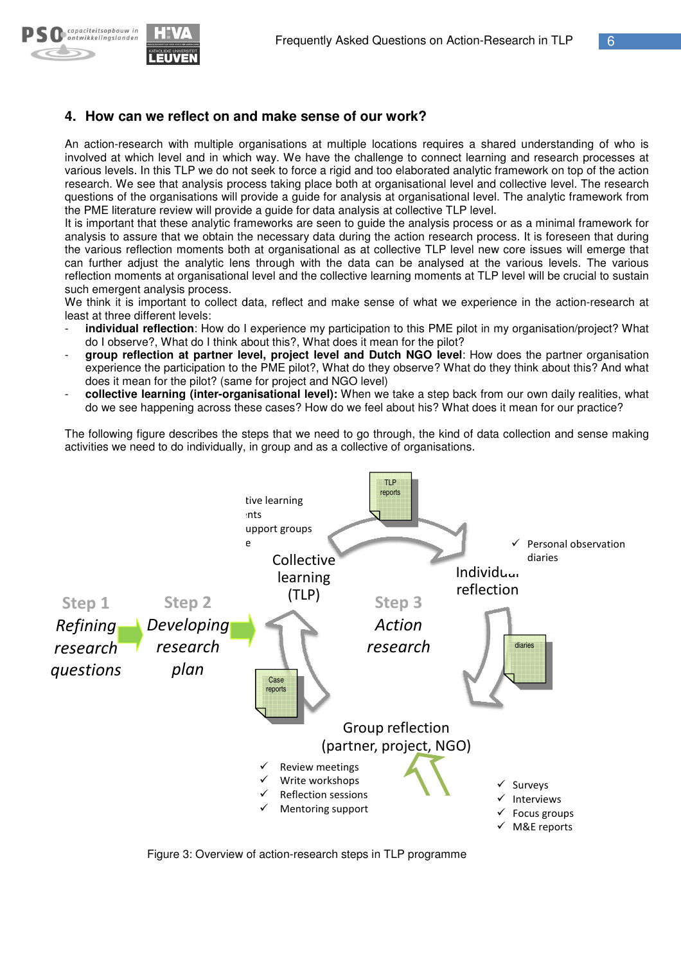

## **4. How can we reflect on and make sense of our work?**

An action-research with multiple organisations at multiple locations requires a shared understanding of who is involved at which level and in which way. We have the challenge to connect learning and research processes at various levels. In this TLP we do not seek to force a rigid and too elaborated analytic framework on top of the action research. We see that analysis process taking place both at organisational level and collective level. The research questions of the organisations will provide a guide for analysis at organisational level. The analytic framework from the PME literature review will provide a guide for data analysis at collective TLP level.

It is important that these analytic frameworks are seen to guide the analysis process or as a minimal framework for analysis to assure that we obtain the necessary data during the action research process. It is foreseen that during the various reflection moments both at organisational as at collective TLP level new core issues will emerge that can further adjust the analytic lens through with the data can be analysed at the various levels. The various reflection moments at organisational level and the collective learning moments at TLP level will be crucial to sustain such emergent analysis process. h at organisational level and collective level. The research<br>alysis at organisational level. The analytic framework from<br>alysis at collective TLP level.<br>b guide the analysis process or as a minimal framework for<br>ring the a

We think it is important to collect data, reflect and make sense of what we experience in the action-research at least at three different levels:

- **individual reflection**: How do I experience my participation to this PME pilot in my organisation/project? What do I observe?, What do I think about this?, What does it mean for the pilot?
- **group reflection at partner level, project level and Dutch NGO level** : How does the partner organisation experience the participation to the PME pilot?, What do they observe? What do they think about this? And what does it mean for the pilot? (same for project and NGO level)
- **collective learning (inter-organisational level): When we take a step back from our own daily realities, what** do we see happening across these cases? How do we feel about his? What does it mean for our practice?

The following figure describes the steps that we need to go through, the kind of data collection and sense making activities we need to do individually, in group and as a collective of organisations.



Figure 3: Overview of action-research steps in TLP programme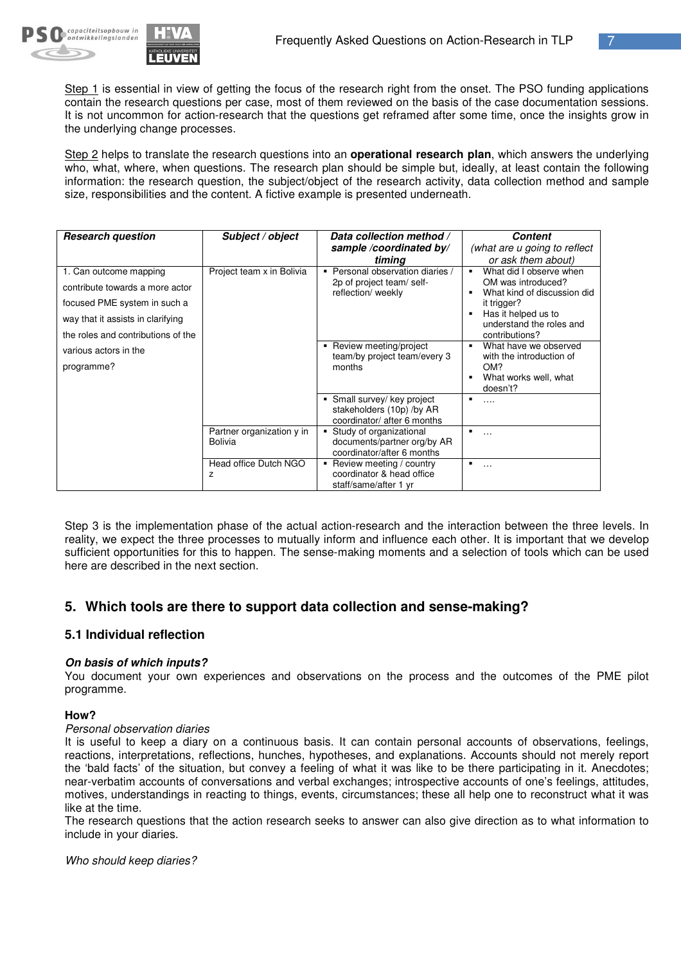

Step 1 is essential in view of getting the focus of the research right from the onset. The PSO funding applications contain the research questions per case, most of them reviewed on the basis of the case documentation sessions. It is not uncommon for action-research that the questions get reframed after some time, once the insights grow in the underlying change processes.

Step 2 helps to translate the research questions into an **operational research plan**, which answers the underlying who, what, where, when questions. The research plan should be simple but, ideally, at least contain the following information: the research question, the subject/object of the research activity, data collection method and sample size, responsibilities and the content. A fictive example is presented underneath.

| <b>Research question</b>                                                                                                                                             | Subject / object                            | Data collection method /<br>sample /coordinated by/<br>timing                              | <b>Content</b><br>(what are u going to reflect<br>or ask them about)                                                                                                               |
|----------------------------------------------------------------------------------------------------------------------------------------------------------------------|---------------------------------------------|--------------------------------------------------------------------------------------------|------------------------------------------------------------------------------------------------------------------------------------------------------------------------------------|
| 1. Can outcome mapping<br>contribute towards a more actor<br>focused PME system in such a<br>way that it assists in clarifying<br>the roles and contributions of the | Project team x in Bolivia                   | Personal observation diaries /<br>2p of project team/self-<br>reflection/ weekly           | What did I observe when<br>$\blacksquare$<br>OM was introduced?<br>What kind of discussion did<br>it trigger?<br>Has it helped us to<br>understand the roles and<br>contributions? |
| various actors in the<br>programme?                                                                                                                                  |                                             | Review meeting/project<br>team/by project team/every 3<br>months                           | What have we observed<br>$\blacksquare$<br>with the introduction of<br>OM?<br>What works well, what<br>doesn't?                                                                    |
|                                                                                                                                                                      |                                             | Small survey/ key project<br>٠<br>stakeholders (10p) /by AR<br>coordinator/ after 6 months | .                                                                                                                                                                                  |
|                                                                                                                                                                      | Partner organization y in<br><b>Bolivia</b> | Study of organizational<br>documents/partner org/by AR<br>coordinator/after 6 months       | .                                                                                                                                                                                  |
|                                                                                                                                                                      | Head office Dutch NGO<br>Z                  | Review meeting / country<br>coordinator & head office<br>staff/same/after 1 yr             | $\blacksquare$<br>.                                                                                                                                                                |

Step 3 is the implementation phase of the actual action-research and the interaction between the three levels. In reality, we expect the three processes to mutually inform and influence each other. It is important that we develop sufficient opportunities for this to happen. The sense-making moments and a selection of tools which can be used here are described in the next section.

## **5. Which tools are there to support data collection and sense-making?**

## **5.1 Individual reflection**

#### *On basis of which inputs?*

You document your own experiences and observations on the process and the outcomes of the PME pilot programme.

#### **How?**

#### *Personal observation diaries*

It is useful to keep a diary on a continuous basis. It can contain personal accounts of observations, feelings, reactions, interpretations, reflections, hunches, hypotheses, and explanations. Accounts should not merely report the 'bald facts' of the situation, but convey a feeling of what it was like to be there participating in it. Anecdotes; near-verbatim accounts of conversations and verbal exchanges; introspective accounts of one's feelings, attitudes, motives, understandings in reacting to things, events, circumstances; these all help one to reconstruct what it was like at the time.

The research questions that the action research seeks to answer can also give direction as to what information to include in your diaries.

*Who should keep diaries?*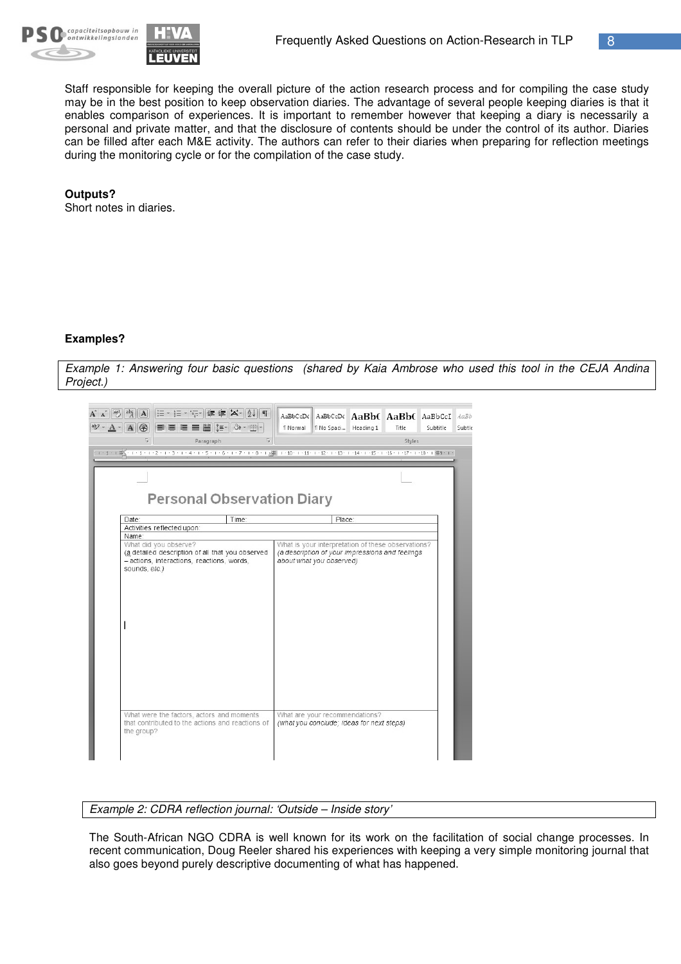



Staff responsible for keeping the overall picture of the action research process and for compiling the case study may be in the best position to keep observation diaries. The advantage of several people keeping diaries is that it enables comparison of experiences. It is important to remember however that keeping a diary is necessarily a personal and private matter, and that the disclosure of contents should be under the control of its author. Diaries can be filled after each M&E activity. The authors can refer to their diaries when preparing for reflection meetings during the monitoring cycle or for the compilation of the case study.

#### **Outputs?**

Short notes in diaries.

#### **Examples?**

Example 1: Answering four basic questions (shared by Kaia Ambrose who used this tool in the CEJA Andina *Project.)*



*Example 2: CDRA reflection journal: 'Outside – Inside story'*

The South-African NGO CDRA is well known for its work on the facilitation of social change processes. In recent communication, Doug Reeler shared his experiences with keeping a very simple monitoring journal that also goes beyond purely descriptive documenting of what has happened.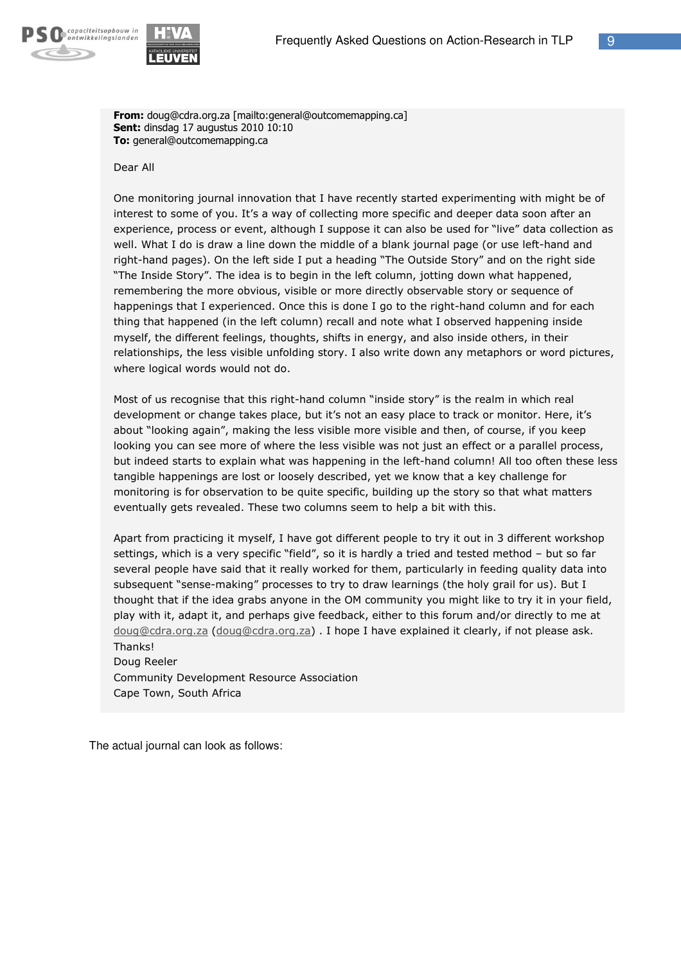



From: doug@cdra.org.za [mailto:general@outcomemapping.ca] **Sent:** dinsdag 17 augustus 2010 10:10 To: general@outcomemapping.ca

Dear All

One monitoring journal innovation that I have recently started experimenting with might be of interest to some of you. It's a way of collecting more specific and deeper data soon after an experience, process or event, although I suppose it can also be used for "live" data collection as well. What I do is draw a line down the middle of a blank journal page (or use left-hand and right-hand pages). On the left side I put a heading "The Outside Story" and on the right side "The Inside Story". The idea is to begin in the left column, jotting down what happened, remembering the more obvious, visible or more directly observable story or sequence of happenings that I experienced. Once this is done I go to the right-hand column and for each thing that happened (in the left column) recall and note what I observed happening inside myself, the different feelings, thoughts, shifts in energy, and also inside others, in their relationships, the less visible unfolding story. I also write down any metaphors or word pictures, where logical words would not do.

Most of us recognise that this right-hand column "inside story" is the realm in which real development or change takes place, but it's not an easy place to track or monitor. Here, it's about "looking again", making the less visible more visible and then, of course, if you keep looking you can see more of where the less visible was not just an effect or a parallel process, but indeed starts to explain what was happening in the left-hand column! All too often these less tangible happenings are lost or loosely described, yet we know that a key challenge for monitoring is for observation to be quite specific, building up the story so that what matters eventually gets revealed. These two columns seem to help a bit with this.

Apart from practicing it myself, I have got different people to try it out in 3 different workshop settings, which is a very specific "field", so it is hardly a tried and tested method - but so far several people have said that it really worked for them, particularly in feeding quality data into subsequent "sense-making" processes to try to draw learnings (the holy grail for us). But I thought that if the idea grabs anyone in the OM community you might like to try it in your field, play with it, adapt it, and perhaps give feedback, either to this forum and/or directly to me at doug@cdra.org.za (doug@cdra.org.za) . I hope I have explained it clearly, if not please ask. Thanks!

Doug Reeler Community Development Resource Association Cape Town, South Africa

The actual journal can look as follows: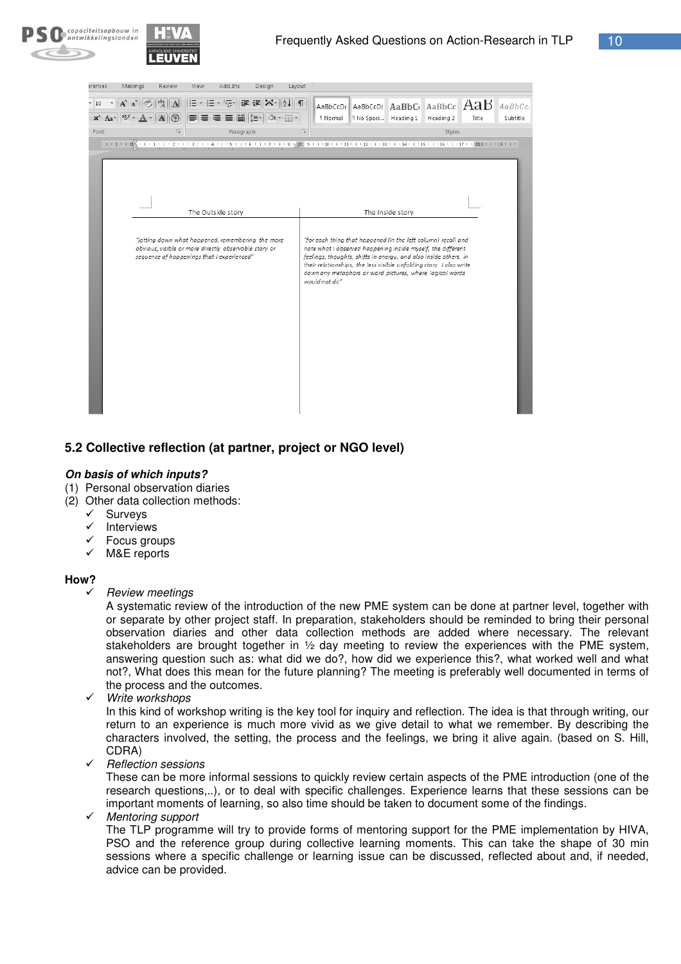



| erences                                                                                                                                                                                                                                                                                                                                                                                                                                                                                                                                                                                                                                                                                                                                                                                         | Mailings         | Review | View     | Add-Ins                                                  | Design | Layout                  |                      |                      |  |                                                 |       |          |
|-------------------------------------------------------------------------------------------------------------------------------------------------------------------------------------------------------------------------------------------------------------------------------------------------------------------------------------------------------------------------------------------------------------------------------------------------------------------------------------------------------------------------------------------------------------------------------------------------------------------------------------------------------------------------------------------------------------------------------------------------------------------------------------------------|------------------|--------|----------|----------------------------------------------------------|--------|-------------------------|----------------------|----------------------|--|-------------------------------------------------|-------|----------|
| 10<br>$x^2$ Aa                                                                                                                                                                                                                                                                                                                                                                                                                                                                                                                                                                                                                                                                                                                                                                                  |                  | 第      | 辷<br>- 扫 | $\frac{1}{3}$ $\frac{1}{3}$ $\frac{1}{3}$<br>語<br>菖<br>≣ | 譚      | $\P$<br>BB <sub>1</sub> | AaBbCcDc<br>1 Normal | 1 No Spaci Heading 1 |  | AaBbCcDt AaBbCt AaBbCc AaB AaBbCc.<br>Heading 2 | Title | Subtitle |
| Font                                                                                                                                                                                                                                                                                                                                                                                                                                                                                                                                                                                                                                                                                                                                                                                            | Fs)<br>Paragraph |        |          |                                                          | 同      | Styles                  |                      |                      |  |                                                 |       |          |
| 1 + 1 + 1 $\#$ + 1 + 1 + 1 + 2 + 1 + 3 + 1 + 4 + 1 + 5 + 1 + 6 + 1 + 7 + 1 + 8 $\gamma$ $\#$ = 9 + 1 + 10 + 1 + 11 + 1 + 12 + 1 + 13 + 1 + 14 + 1 + 15 + 1 + 16 + 1 + 17 + 1 $\#$ 8 + 1 + 13 + 1 + 11 + 12 + 1 + 13 + 1 + 12 + 1 +<br>The Outside story<br>The Inside story<br>"jotting down what happened, remembering the more<br>"for each thing that happened (in the left column) recall and<br>obvious, visible or more directly observable story or<br>note what I observed happening inside myself, the different<br>sequence of happenings that I experienced"<br>feelings, thoughts, shifts in energy, and also inside others, in<br>their relationships, the less visible unfolding story. I also write<br>down any metaphors or word pictures, where logical words<br>would not do" |                  |        |          |                                                          |        |                         |                      |                      |  |                                                 |       |          |

## **5.2 Collective reflection (at partner, project or NGO level)**

#### *On basis of which inputs?*

- (1) Personal observation diaries
- (2) Other data collection methods:
	- $\checkmark$  Surveys
	- $\checkmark$  Interviews
	- Focus groups
	- $\checkmark$  M&E reports

#### **How?**

*Review meetings*

A systematic review of the introduction of the new PME system can be done at partner level, together with or separate by other project staff. In preparation, stakeholders should be reminded to bring their personal observation diaries and other data collection methods are added where necessary. The relevant stakeholders are brought together in ½ day meeting to review the experiences with the PME system, answering question such as: what did we do?, how did we experience this?, what worked well and what not?, What does this mean for the future planning? The meeting is preferably well documented in terms of the process and the outcomes.

*Write workshops*

In this kind of workshop writing is the key tool for inquiry and reflection. The idea is that through writing, our return to an experience is much more vivid as we give detail to what we remember. By describing the characters involved, the setting, the process and the feelings, we bring it alive again. (based on S. Hill, CDRA)

*Reflection sessions*

These can be more informal sessions to quickly review certain aspects of the PME introduction (one of the research questions,..), or to deal with specific challenges. Experience learns that these sessions can be important moments of learning, so also time should be taken to document some of the findings.

*Mentoring support*

The TLP programme will try to provide forms of mentoring support for the PME implementation by HIVA, PSO and the reference group during collective learning moments. This can take the shape of 30 min sessions where a specific challenge or learning issue can be discussed, reflected about and, if needed, advice can be provided.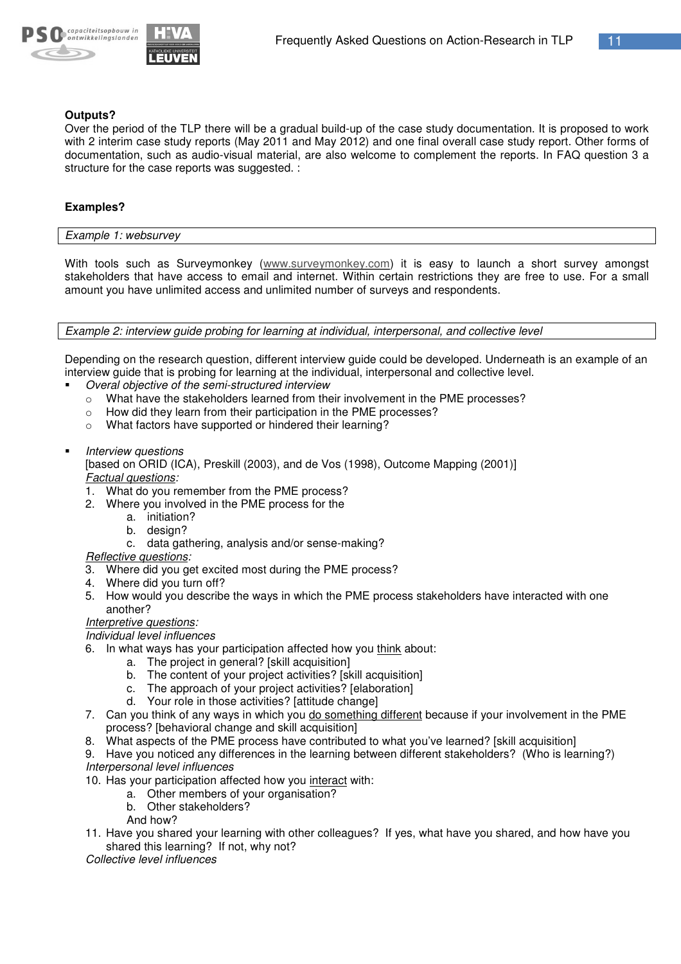



#### **Outputs?**

Over the period of the TLP there will be a gradual build-up of the case study documentation. It is proposed to work with 2 interim case study reports (May 2011 and May 2012) and one final overall case study report. Other forms of documentation, such as audio-visual material, are also welcome to complement the reports. In FAQ question 3 a structure for the case reports was suggested. :

#### **Examples?**

*Example 1: websurvey*

With tools such as Surveymonkey (www.surveymonkey.com) it is easy to launch a short survey amongst stakeholders that have access to email and internet. Within certain restrictions they are free to use. For a small amount you have unlimited access and unlimited number of surveys and respondents.

*Example 2: interview guide probing for learning at individual, interpersonal, and collective level*

Depending on the research question, different interview guide could be developed. Underneath is an example of an interview guide that is probing for learning at the individual, interpersonal and collective level.

- - *Overal objective of the semi-structured interview*
	- $\circ$  What have the stakeholders learned from their involvement in the PME processes?
	- o How did they learn from their participation in the PME processes?
	- o What factors have supported or hindered their learning?
- -*Interview questions*

[based on ORID (ICA), Preskill (2003), and de Vos (1998), Outcome Mapping (2001)] *Factual questions:*

- 1. What do you remember from the PME process?
- 2. Where you involved in the PME process for the
	- a. initiation?
		- b. design?
		- c. data gathering, analysis and/or sense-making?
- *Reflective questions:*
- 3. Where did you get excited most during the PME process?
- 4. Where did you turn off?
- 5. How would you describe the ways in which the PME process stakeholders have interacted with one another?

#### *Interpretive questions:*

*Individual level influences*

- 6. In what ways has your participation affected how you think about:
	- a. The project in general? [skill acquisition]
	- b. The content of your project activities? [skill acquisition]
	- c. The approach of your project activities? [elaboration]
	- d. Your role in those activities? [attitude change]
- 7. Can you think of any ways in which you do something different because if your involvement in the PME process? [behavioral change and skill acquisition]
- 8. What aspects of the PME process have contributed to what you've learned? [skill acquisition]
- 9. Have you noticed any differences in the learning between different stakeholders? (Who is learning?)
- *Interpersonal level influences*
- 10. Has your participation affected how you interact with:
	- a. Other members of your organisation?
	- b. Other stakeholders?
	- And how?
- 11. Have you shared your learning with other colleagues? If yes, what have you shared, and how have you shared this learning? If not, why not?

*Collective level influences*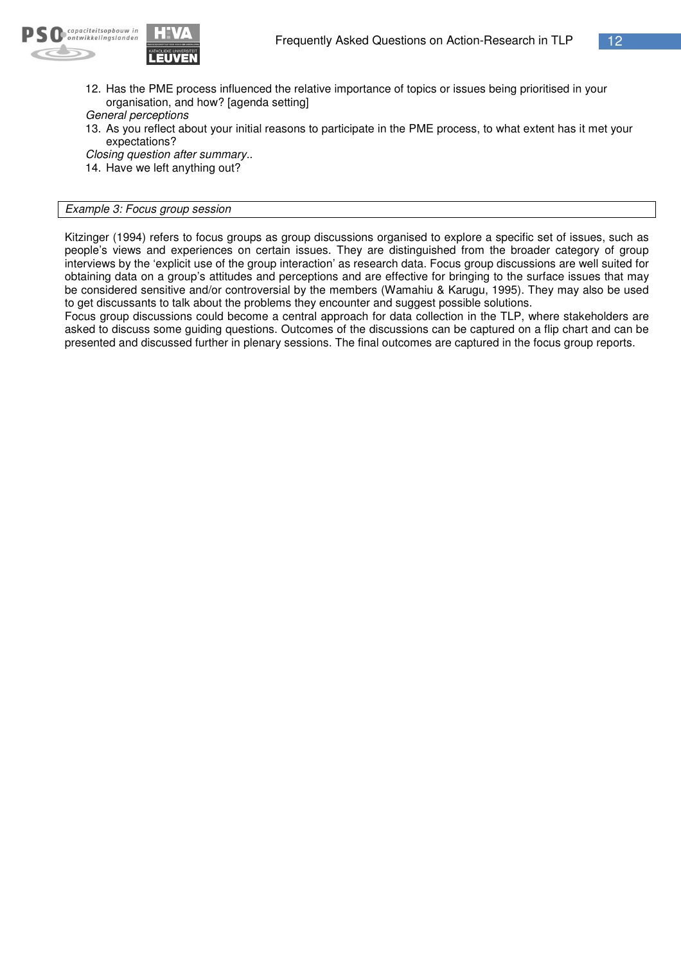

12. Has the PME process influenced the relative importance of topics or issues being prioritised in your organisation, and how? [agenda setting]

*General perceptions*

13. As you reflect about your initial reasons to participate in the PME process, to what extent has it met your expectations?

*Closing question after summary..*

14. Have we left anything out?

#### *Example 3: Focus group session*

Kitzinger (1994) refers to focus groups as group discussions organised to explore a specific set of issues, such as people's views and experiences on certain issues. They are distinguished from the broader category of group interviews by the 'explicit use of the group interaction' as research data. Focus group discussions are well suited for obtaining data on a group's attitudes and perceptions and are effective for bringing to the surface issues that may be considered sensitive and/or controversial by the members (Wamahiu & Karugu, 1995). They may also be used to get discussants to talk about the problems they encounter and suggest possible solutions.

Focus group discussions could become a central approach for data collection in the TLP, where stakeholders are asked to discuss some guiding questions. Outcomes of the discussions can be captured on a flip chart and can be presented and discussed further in plenary sessions. The final outcomes are captured in the focus group reports.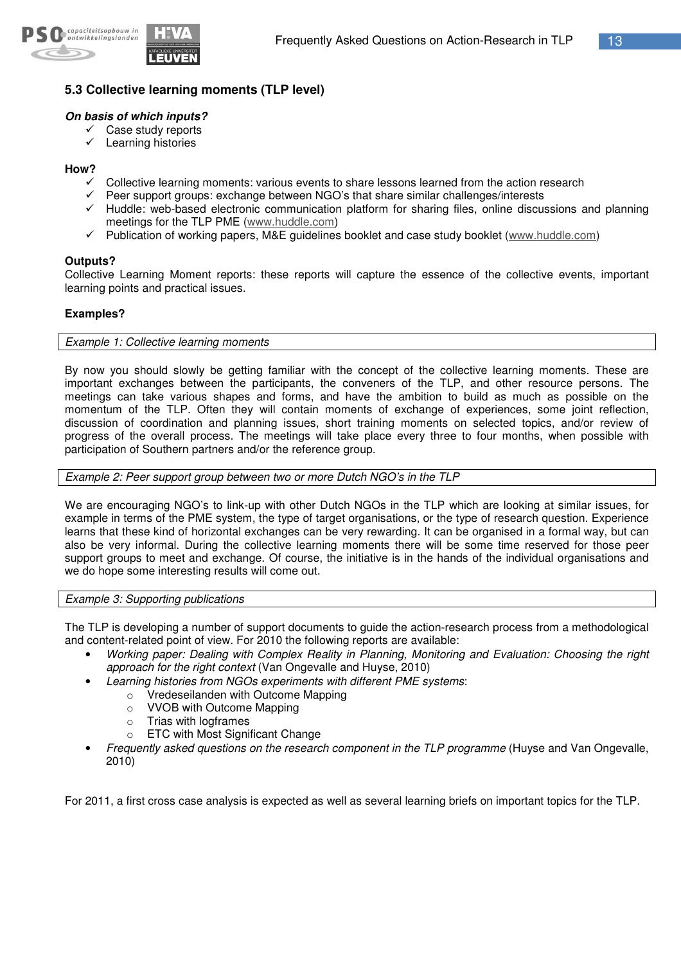

## **5.3 Collective learning moments (TLP level)**

#### *On basis of which inputs?*

- $\checkmark$  Case study reports
	- $\checkmark$  Learning histories

#### **How?**

- Collective learning moments: various events to share lessons learned from the action research
- $\checkmark$  Peer support groups: exchange between NGO's that share similar challenges/interests
- $\checkmark$  Huddle: web-based electronic communication platform for sharing files, online discussions and planning meetings for the TLP PME (www.huddle.com)
- $\checkmark$  Publication of working papers, M&E guidelines booklet and case study booklet (www.huddle.com)

#### **Outputs?**

Collective Learning Moment reports: these reports will capture the essence of the collective events, important learning points and practical issues.

#### **Examples?**

*Example 1: Collective learning moments*

By now you should slowly be getting familiar with the concept of the collective learning moments. These are important exchanges between the participants, the conveners of the TLP, and other resource persons. The meetings can take various shapes and forms, and have the ambition to build as much as possible on the momentum of the TLP. Often they will contain moments of exchange of experiences, some joint reflection, discussion of coordination and planning issues, short training moments on selected topics, and/or review of progress of the overall process. The meetings will take place every three to four months, when possible with participation of Southern partners and/or the reference group.

*Example 2: Peer support group between two or more Dutch NGO's in the TLP*

We are encouraging NGO's to link-up with other Dutch NGOs in the TLP which are looking at similar issues, for example in terms of the PME system, the type of target organisations, or the type of research question. Experience learns that these kind of horizontal exchanges can be very rewarding. It can be organised in a formal way, but can also be very informal. During the collective learning moments there will be some time reserved for those peer support groups to meet and exchange. Of course, the initiative is in the hands of the individual organisations and we do hope some interesting results will come out.

#### *Example 3: Supporting publications*

The TLP is developing a number of support documents to guide the action-research process from a methodological and content-related point of view. For 2010 the following reports are available:

- *Working paper: Dealing with Complex Reality in Planning, Monitoring and Evaluation: Choosing the right approach for the right context* (Van Ongevalle and Huyse, 2010)
	- *Learning histories from NGOs experiments with different PME systems*:
		- o Vredeseilanden with Outcome Mapping
		- o VVOB with Outcome Mapping
		- o Trias with logframes
		- o ETC with Most Significant Change
- *Frequently asked questions on the research component in the TLP programme* (Huyse and Van Ongevalle, 2010)

For 2011, a first cross case analysis is expected as well as several learning briefs on important topics for the TLP.